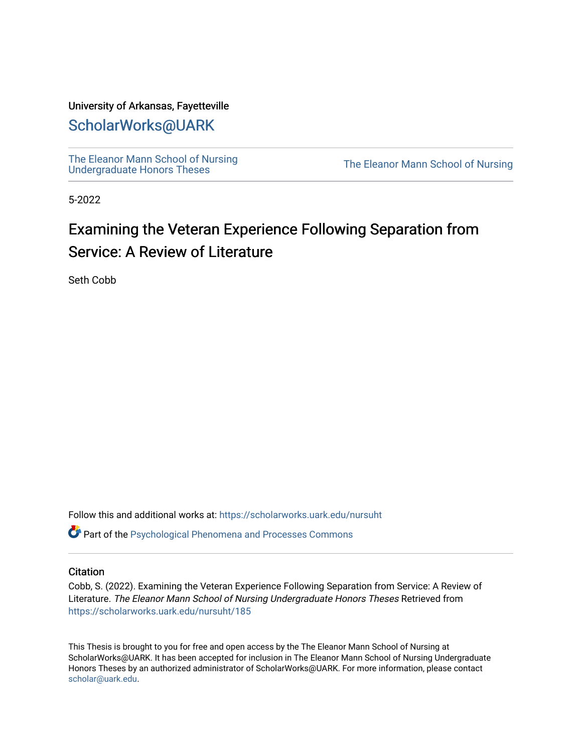# University of Arkansas, Fayetteville

# [ScholarWorks@UARK](https://scholarworks.uark.edu/)

[The Eleanor Mann School of Nursing](https://scholarworks.uark.edu/nursuht)<br>Undergraduate Honors Theses

The Eleanor Mann School of Nursing

5-2022

# Examining the Veteran Experience Following Separation from Service: A Review of Literature

Seth Cobb

Follow this and additional works at: [https://scholarworks.uark.edu/nursuht](https://scholarworks.uark.edu/nursuht?utm_source=scholarworks.uark.edu%2Fnursuht%2F185&utm_medium=PDF&utm_campaign=PDFCoverPages)

Part of the [Psychological Phenomena and Processes Commons](https://network.bepress.com/hgg/discipline/914?utm_source=scholarworks.uark.edu%2Fnursuht%2F185&utm_medium=PDF&utm_campaign=PDFCoverPages) 

# **Citation**

Cobb, S. (2022). Examining the Veteran Experience Following Separation from Service: A Review of Literature. The Eleanor Mann School of Nursing Undergraduate Honors Theses Retrieved from [https://scholarworks.uark.edu/nursuht/185](https://scholarworks.uark.edu/nursuht/185?utm_source=scholarworks.uark.edu%2Fnursuht%2F185&utm_medium=PDF&utm_campaign=PDFCoverPages)

This Thesis is brought to you for free and open access by the The Eleanor Mann School of Nursing at ScholarWorks@UARK. It has been accepted for inclusion in The Eleanor Mann School of Nursing Undergraduate Honors Theses by an authorized administrator of ScholarWorks@UARK. For more information, please contact [scholar@uark.edu](mailto:scholar@uark.edu).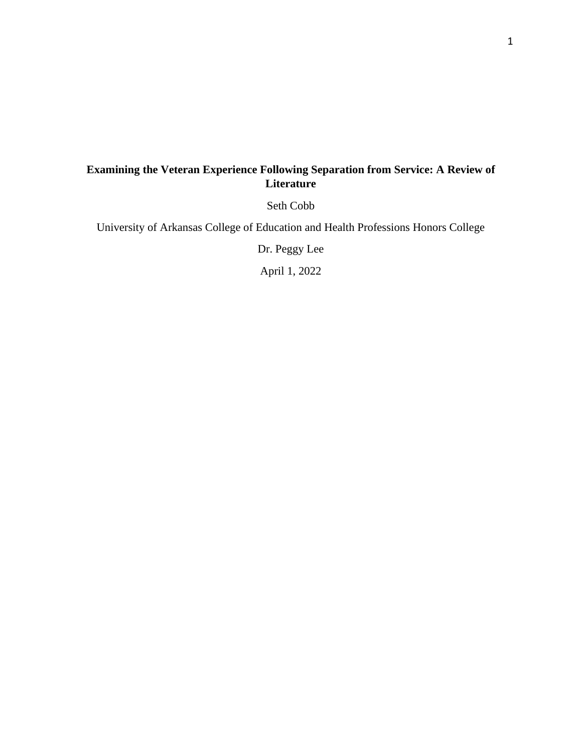# **Examining the Veteran Experience Following Separation from Service: A Review of Literature**

Seth Cobb

University of Arkansas College of Education and Health Professions Honors College

Dr. Peggy Lee

April 1, 2022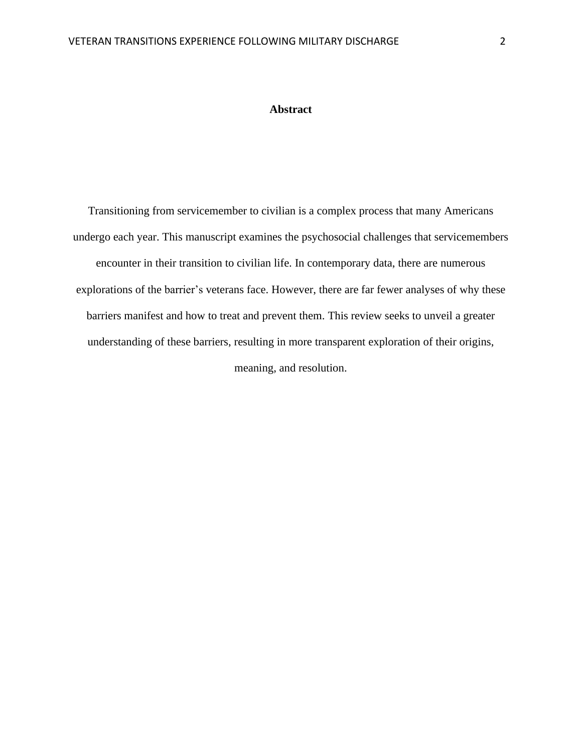# **Abstract**

Transitioning from servicemember to civilian is a complex process that many Americans undergo each year. This manuscript examines the psychosocial challenges that servicemembers encounter in their transition to civilian life. In contemporary data, there are numerous explorations of the barrier's veterans face. However, there are far fewer analyses of why these barriers manifest and how to treat and prevent them. This review seeks to unveil a greater understanding of these barriers, resulting in more transparent exploration of their origins, meaning, and resolution.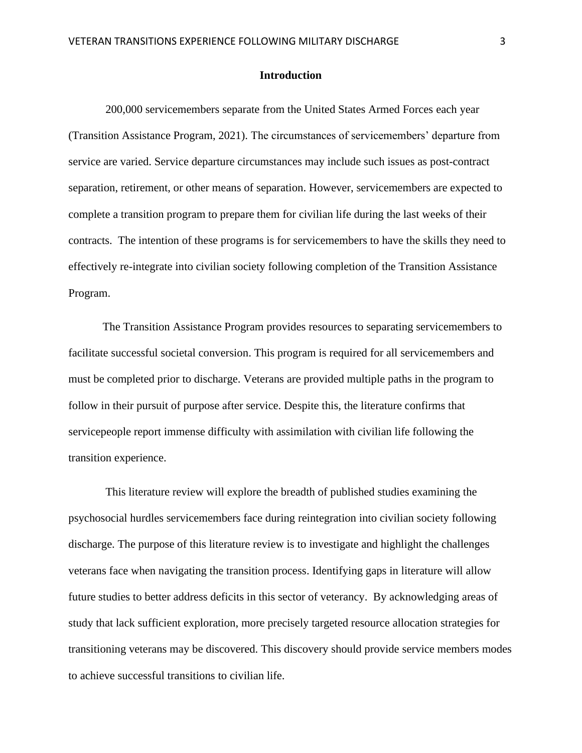## **Introduction**

200,000 servicemembers separate from the United States Armed Forces each year (Transition Assistance Program, 2021). The circumstances of servicemembers' departure from service are varied. Service departure circumstances may include such issues as post-contract separation, retirement, or other means of separation. However, servicemembers are expected to complete a transition program to prepare them for civilian life during the last weeks of their contracts. The intention of these programs is for servicemembers to have the skills they need to effectively re-integrate into civilian society following completion of the Transition Assistance Program.

The Transition Assistance Program provides resources to separating servicemembers to facilitate successful societal conversion. This program is required for all servicemembers and must be completed prior to discharge. Veterans are provided multiple paths in the program to follow in their pursuit of purpose after service. Despite this, the literature confirms that servicepeople report immense difficulty with assimilation with civilian life following the transition experience.

This literature review will explore the breadth of published studies examining the psychosocial hurdles servicemembers face during reintegration into civilian society following discharge. The purpose of this literature review is to investigate and highlight the challenges veterans face when navigating the transition process. Identifying gaps in literature will allow future studies to better address deficits in this sector of veterancy. By acknowledging areas of study that lack sufficient exploration, more precisely targeted resource allocation strategies for transitioning veterans may be discovered. This discovery should provide service members modes to achieve successful transitions to civilian life.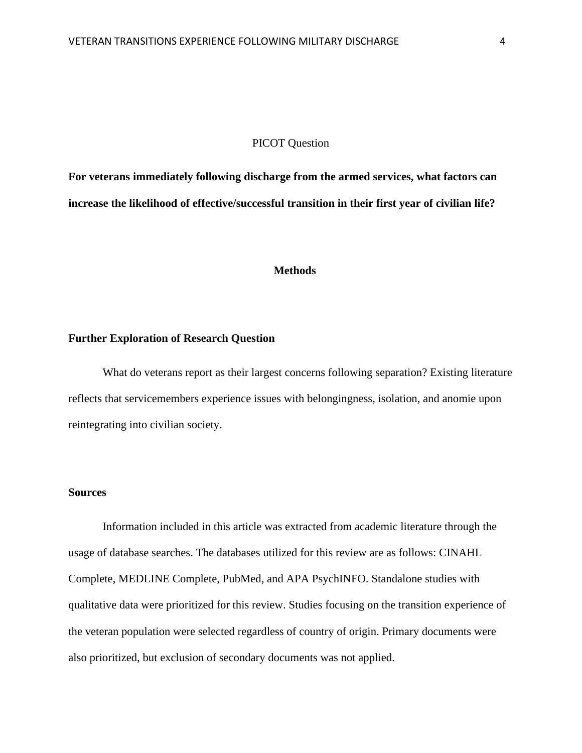### PICOT Question

**For veterans immediately following discharge from the armed services, what factors can increase the likelihood of effective/successful transition in their first year of civilian life?**

#### **Methods**

#### **Further Exploration of Research Question**

What do veterans report as their largest concerns following separation? Existing literature reflects that servicemembers experience issues with belongingness, isolation, and anomie upon reintegrating into civilian society.

# **Sources**

Information included in this article was extracted from academic literature through the usage of database searches. The databases utilized for this review are as follows: CINAHL Complete, MEDLINE Complete, PubMed, and APA PsychINFO. Standalone studies with qualitative data were prioritized for this review. Studies focusing on the transition experience of the veteran population were selected regardless of country of origin. Primary documents were also prioritized, but exclusion of secondary documents was not applied.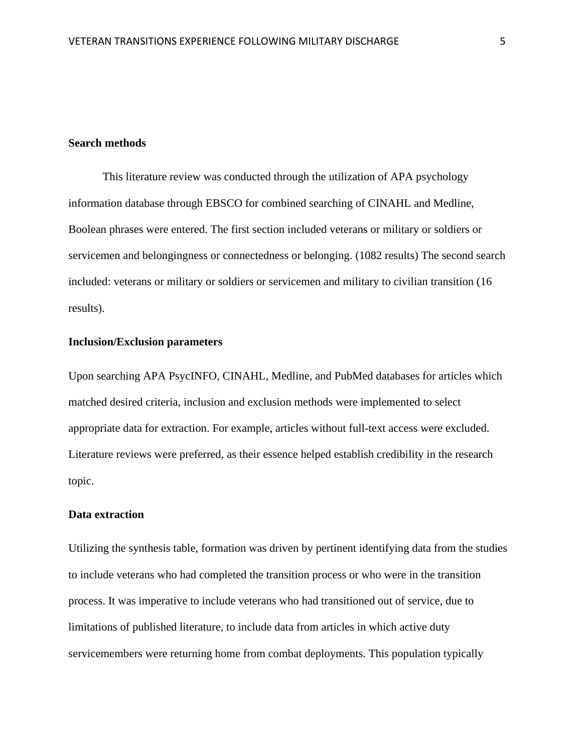## **Search methods**

This literature review was conducted through the utilization of APA psychology information database through EBSCO for combined searching of CINAHL and Medline, Boolean phrases were entered. The first section included veterans or military or soldiers or servicemen and belongingness or connectedness or belonging. (1082 results) The second search included: veterans or military or soldiers or servicemen and military to civilian transition (16 results).

# **Inclusion/Exclusion parameters**

Upon searching APA PsycINFO, CINAHL, Medline, and PubMed databases for articles which matched desired criteria, inclusion and exclusion methods were implemented to select appropriate data for extraction. For example, articles without full-text access were excluded. Literature reviews were preferred, as their essence helped establish credibility in the research topic.

#### **Data extraction**

Utilizing the synthesis table, formation was driven by pertinent identifying data from the studies to include veterans who had completed the transition process or who were in the transition process. It was imperative to include veterans who had transitioned out of service, due to limitations of published literature, to include data from articles in which active duty servicemembers were returning home from combat deployments. This population typically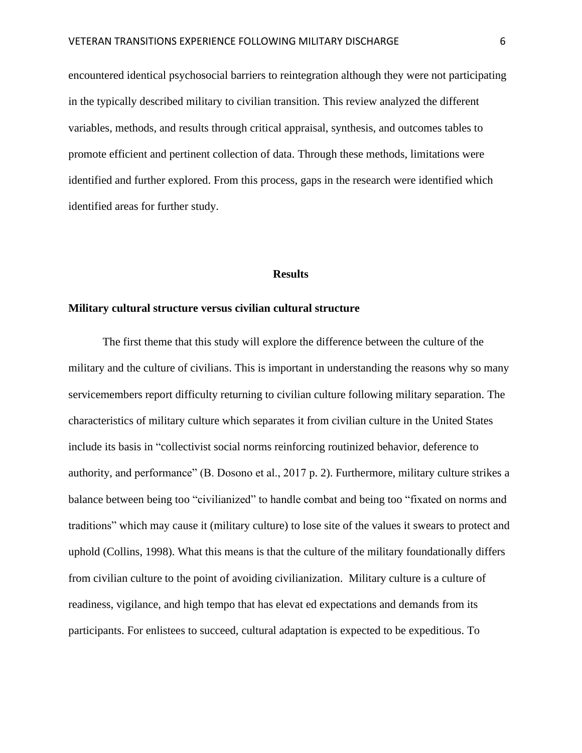encountered identical psychosocial barriers to reintegration although they were not participating in the typically described military to civilian transition. This review analyzed the different variables, methods, and results through critical appraisal, synthesis, and outcomes tables to promote efficient and pertinent collection of data. Through these methods, limitations were identified and further explored. From this process, gaps in the research were identified which identified areas for further study.

#### **Results**

# **Military cultural structure versus civilian cultural structure**

The first theme that this study will explore the difference between the culture of the military and the culture of civilians. This is important in understanding the reasons why so many servicemembers report difficulty returning to civilian culture following military separation. The characteristics of military culture which separates it from civilian culture in the United States include its basis in "collectivist social norms reinforcing routinized behavior, deference to authority, and performance" (B. Dosono et al., 2017 p. 2). Furthermore, military culture strikes a balance between being too "civilianized" to handle combat and being too "fixated on norms and traditions" which may cause it (military culture) to lose site of the values it swears to protect and uphold (Collins, 1998). What this means is that the culture of the military foundationally differs from civilian culture to the point of avoiding civilianization. Military culture is a culture of readiness, vigilance, and high tempo that has elevat ed expectations and demands from its participants. For enlistees to succeed, cultural adaptation is expected to be expeditious. To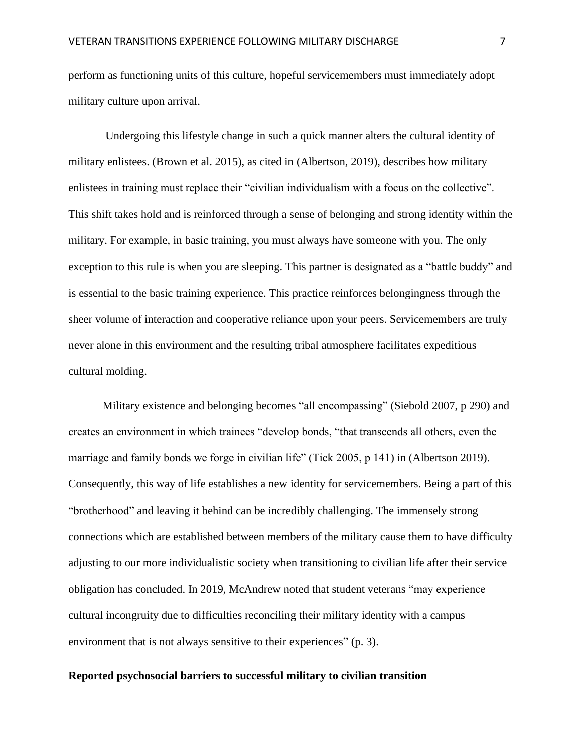perform as functioning units of this culture, hopeful servicemembers must immediately adopt military culture upon arrival.

Undergoing this lifestyle change in such a quick manner alters the cultural identity of military enlistees. (Brown et al. 2015), as cited in (Albertson, 2019), describes how military enlistees in training must replace their "civilian individualism with a focus on the collective". This shift takes hold and is reinforced through a sense of belonging and strong identity within the military. For example, in basic training, you must always have someone with you. The only exception to this rule is when you are sleeping. This partner is designated as a "battle buddy" and is essential to the basic training experience. This practice reinforces belongingness through the sheer volume of interaction and cooperative reliance upon your peers. Servicemembers are truly never alone in this environment and the resulting tribal atmosphere facilitates expeditious cultural molding.

Military existence and belonging becomes "all encompassing" (Siebold 2007, p 290) and creates an environment in which trainees "develop bonds, "that transcends all others, even the marriage and family bonds we forge in civilian life" (Tick 2005, p 141) in (Albertson 2019). Consequently, this way of life establishes a new identity for servicemembers. Being a part of this "brotherhood" and leaving it behind can be incredibly challenging. The immensely strong connections which are established between members of the military cause them to have difficulty adjusting to our more individualistic society when transitioning to civilian life after their service obligation has concluded. In 2019, McAndrew noted that student veterans "may experience cultural incongruity due to difficulties reconciling their military identity with a campus environment that is not always sensitive to their experiences" (p. 3).

## **Reported psychosocial barriers to successful military to civilian transition**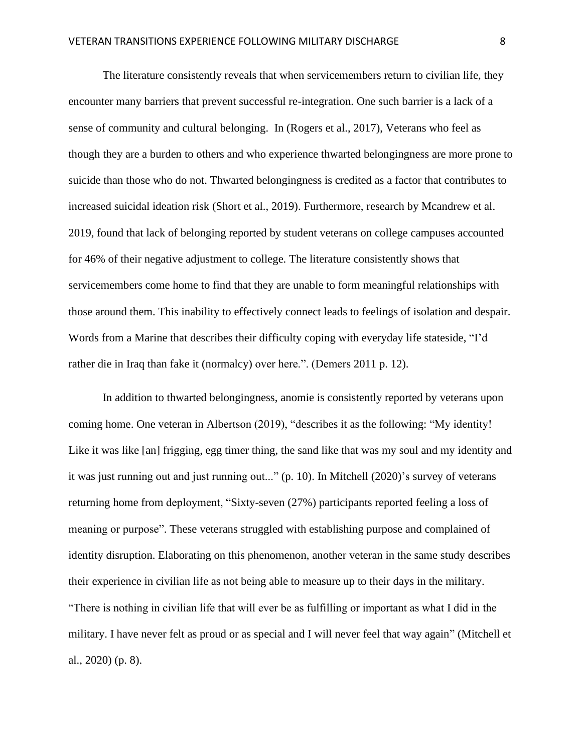The literature consistently reveals that when servicemembers return to civilian life, they encounter many barriers that prevent successful re-integration. One such barrier is a lack of a sense of community and cultural belonging. In (Rogers et al., 2017), Veterans who feel as though they are a burden to others and who experience thwarted belongingness are more prone to suicide than those who do not. Thwarted belongingness is credited as a factor that contributes to increased suicidal ideation risk (Short et al., 2019). Furthermore, research by Mcandrew et al. 2019, found that lack of belonging reported by student veterans on college campuses accounted for 46% of their negative adjustment to college. The literature consistently shows that servicemembers come home to find that they are unable to form meaningful relationships with those around them. This inability to effectively connect leads to feelings of isolation and despair. Words from a Marine that describes their difficulty coping with everyday life stateside, "I'd rather die in Iraq than fake it (normalcy) over here.". (Demers 2011 p. 12).

In addition to thwarted belongingness, anomie is consistently reported by veterans upon coming home. One veteran in Albertson (2019), "describes it as the following: "My identity! Like it was like [an] frigging, egg timer thing, the sand like that was my soul and my identity and it was just running out and just running out..." (p. 10). In Mitchell (2020)'s survey of veterans returning home from deployment, "Sixty-seven (27%) participants reported feeling a loss of meaning or purpose". These veterans struggled with establishing purpose and complained of identity disruption. Elaborating on this phenomenon, another veteran in the same study describes their experience in civilian life as not being able to measure up to their days in the military. "There is nothing in civilian life that will ever be as fulfilling or important as what I did in the military. I have never felt as proud or as special and I will never feel that way again" (Mitchell et al., 2020) (p. 8).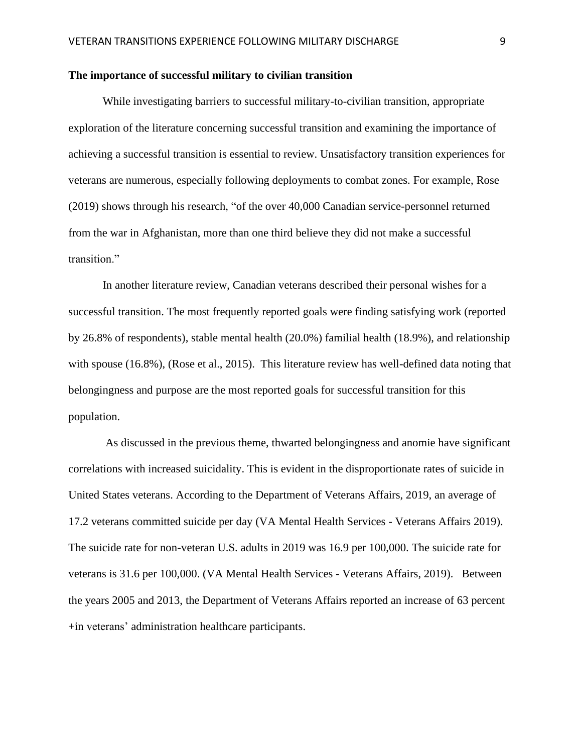### **The importance of successful military to civilian transition**

While investigating barriers to successful military-to-civilian transition, appropriate exploration of the literature concerning successful transition and examining the importance of achieving a successful transition is essential to review. Unsatisfactory transition experiences for veterans are numerous, especially following deployments to combat zones. For example, Rose (2019) shows through his research, "of the over 40,000 Canadian service-personnel returned from the war in Afghanistan, more than one third believe they did not make a successful transition."

In another literature review, Canadian veterans described their personal wishes for a successful transition. The most frequently reported goals were finding satisfying work (reported by 26.8% of respondents), stable mental health (20.0%) familial health (18.9%), and relationship with spouse (16.8%), (Rose et al., 2015). This literature review has well-defined data noting that belongingness and purpose are the most reported goals for successful transition for this population.

As discussed in the previous theme, thwarted belongingness and anomie have significant correlations with increased suicidality. This is evident in the disproportionate rates of suicide in United States veterans. According to the Department of Veterans Affairs, 2019, an average of 17.2 veterans committed suicide per day (VA Mental Health Services - Veterans Affairs 2019). The suicide rate for non-veteran U.S. adults in 2019 was 16.9 per 100,000. The suicide rate for veterans is 31.6 per 100,000. (VA Mental Health Services - Veterans Affairs, 2019). Between the years 2005 and 2013, the Department of Veterans Affairs reported an increase of 63 percent +in veterans' administration healthcare participants.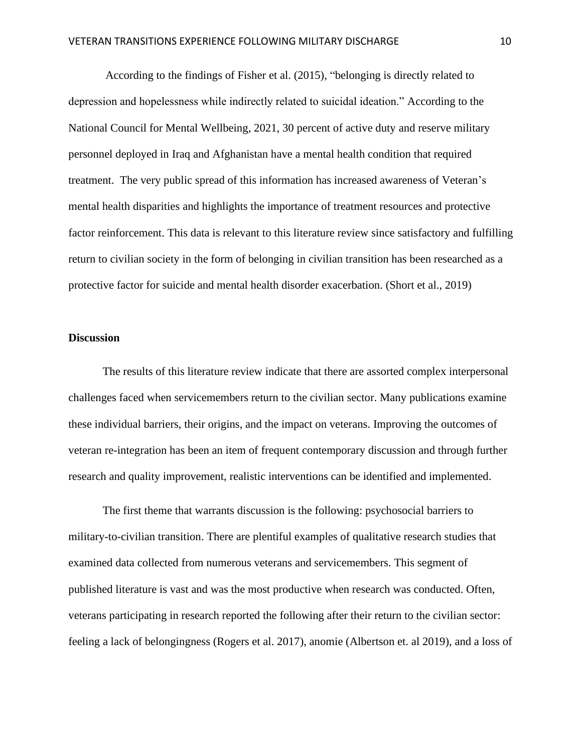According to the findings of Fisher et al. (2015), "belonging is directly related to depression and hopelessness while indirectly related to suicidal ideation." According to the National Council for Mental Wellbeing, 2021, 30 percent of active duty and reserve military personnel deployed in Iraq and Afghanistan have a mental health condition that required treatment. The very public spread of this information has increased awareness of Veteran's mental health disparities and highlights the importance of treatment resources and protective factor reinforcement. This data is relevant to this literature review since satisfactory and fulfilling return to civilian society in the form of belonging in civilian transition has been researched as a protective factor for suicide and mental health disorder exacerbation. (Short et al., 2019)

# **Discussion**

The results of this literature review indicate that there are assorted complex interpersonal challenges faced when servicemembers return to the civilian sector. Many publications examine these individual barriers, their origins, and the impact on veterans. Improving the outcomes of veteran re-integration has been an item of frequent contemporary discussion and through further research and quality improvement, realistic interventions can be identified and implemented.

The first theme that warrants discussion is the following: psychosocial barriers to military-to-civilian transition. There are plentiful examples of qualitative research studies that examined data collected from numerous veterans and servicemembers. This segment of published literature is vast and was the most productive when research was conducted. Often, veterans participating in research reported the following after their return to the civilian sector: feeling a lack of belongingness (Rogers et al. 2017), anomie (Albertson et. al 2019), and a loss of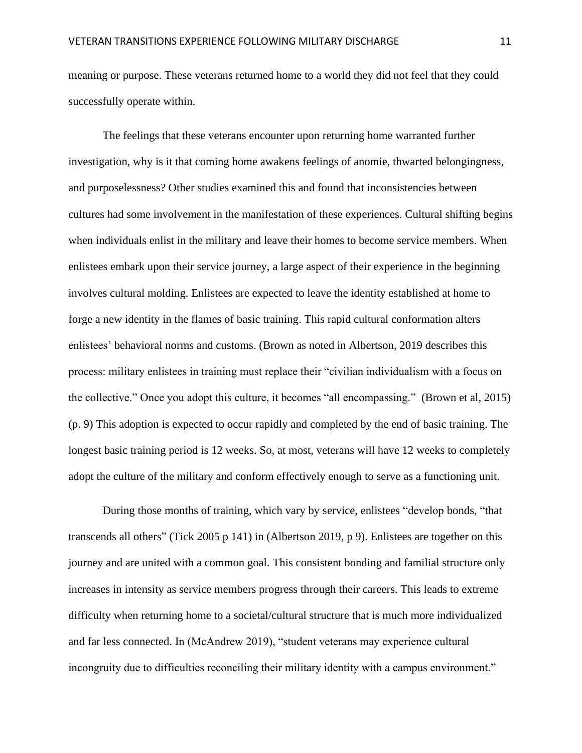meaning or purpose. These veterans returned home to a world they did not feel that they could successfully operate within.

The feelings that these veterans encounter upon returning home warranted further investigation, why is it that coming home awakens feelings of anomie, thwarted belongingness, and purposelessness? Other studies examined this and found that inconsistencies between cultures had some involvement in the manifestation of these experiences. Cultural shifting begins when individuals enlist in the military and leave their homes to become service members. When enlistees embark upon their service journey, a large aspect of their experience in the beginning involves cultural molding. Enlistees are expected to leave the identity established at home to forge a new identity in the flames of basic training. This rapid cultural conformation alters enlistees' behavioral norms and customs. (Brown as noted in Albertson, 2019 describes this process: military enlistees in training must replace their "civilian individualism with a focus on the collective." Once you adopt this culture, it becomes "all encompassing." (Brown et al, 2015) (p. 9) This adoption is expected to occur rapidly and completed by the end of basic training. The longest basic training period is 12 weeks. So, at most, veterans will have 12 weeks to completely adopt the culture of the military and conform effectively enough to serve as a functioning unit.

During those months of training, which vary by service, enlistees "develop bonds, "that transcends all others" (Tick 2005 p 141) in (Albertson 2019, p 9). Enlistees are together on this journey and are united with a common goal. This consistent bonding and familial structure only increases in intensity as service members progress through their careers. This leads to extreme difficulty when returning home to a societal/cultural structure that is much more individualized and far less connected. In (McAndrew 2019), "student veterans may experience cultural incongruity due to difficulties reconciling their military identity with a campus environment."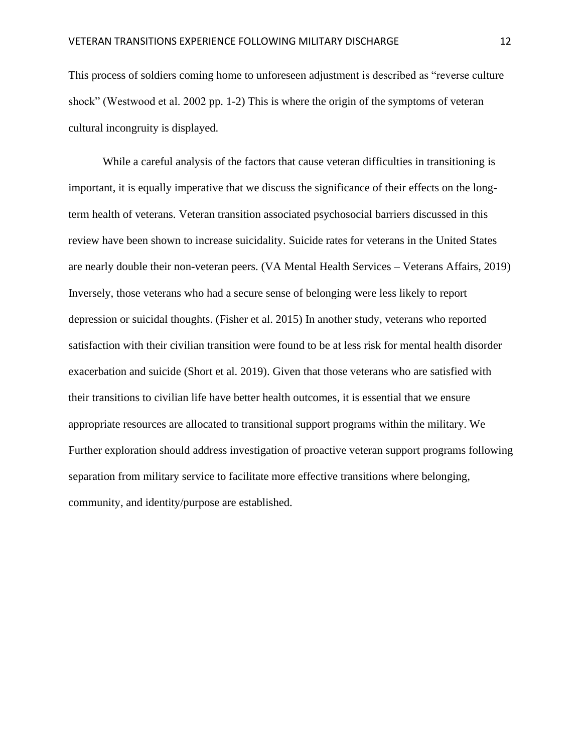This process of soldiers coming home to unforeseen adjustment is described as "reverse culture shock" (Westwood et al. 2002 pp. 1-2) This is where the origin of the symptoms of veteran cultural incongruity is displayed.

While a careful analysis of the factors that cause veteran difficulties in transitioning is important, it is equally imperative that we discuss the significance of their effects on the longterm health of veterans. Veteran transition associated psychosocial barriers discussed in this review have been shown to increase suicidality. Suicide rates for veterans in the United States are nearly double their non-veteran peers. (VA Mental Health Services – Veterans Affairs, 2019) Inversely, those veterans who had a secure sense of belonging were less likely to report depression or suicidal thoughts. (Fisher et al. 2015) In another study, veterans who reported satisfaction with their civilian transition were found to be at less risk for mental health disorder exacerbation and suicide (Short et al. 2019). Given that those veterans who are satisfied with their transitions to civilian life have better health outcomes, it is essential that we ensure appropriate resources are allocated to transitional support programs within the military. We Further exploration should address investigation of proactive veteran support programs following separation from military service to facilitate more effective transitions where belonging, community, and identity/purpose are established.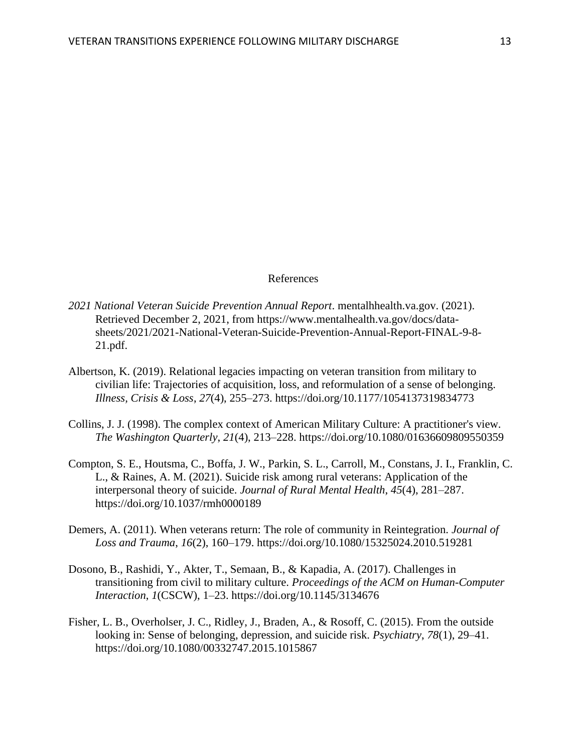### References

- *2021 National Veteran Suicide Prevention Annual Report*. mentalhhealth.va.gov. (2021). Retrieved December 2, 2021, from https://www.mentalhealth.va.gov/docs/datasheets/2021/2021-National-Veteran-Suicide-Prevention-Annual-Report-FINAL-9-8- 21.pdf.
- Albertson, K. (2019). Relational legacies impacting on veteran transition from military to civilian life: Trajectories of acquisition, loss, and reformulation of a sense of belonging. *Illness, Crisis & Loss*, *27*(4), 255–273. https://doi.org/10.1177/1054137319834773
- Collins, J. J. (1998). The complex context of American Military Culture: A practitioner's view. *The Washington Quarterly*, *21*(4), 213–228. https://doi.org/10.1080/01636609809550359
- Compton, S. E., Houtsma, C., Boffa, J. W., Parkin, S. L., Carroll, M., Constans, J. I., Franklin, C. L., & Raines, A. M. (2021). Suicide risk among rural veterans: Application of the interpersonal theory of suicide. *Journal of Rural Mental Health*, *45*(4), 281–287. https://doi.org/10.1037/rmh0000189
- Demers, A. (2011). When veterans return: The role of community in Reintegration. *Journal of Loss and Trauma*, *16*(2), 160–179. https://doi.org/10.1080/15325024.2010.519281
- Dosono, B., Rashidi, Y., Akter, T., Semaan, B., & Kapadia, A. (2017). Challenges in transitioning from civil to military culture. *Proceedings of the ACM on Human-Computer Interaction*, *1*(CSCW), 1–23. https://doi.org/10.1145/3134676
- Fisher, L. B., Overholser, J. C., Ridley, J., Braden, A., & Rosoff, C. (2015). From the outside looking in: Sense of belonging, depression, and suicide risk. *Psychiatry*, *78*(1), 29–41. https://doi.org/10.1080/00332747.2015.1015867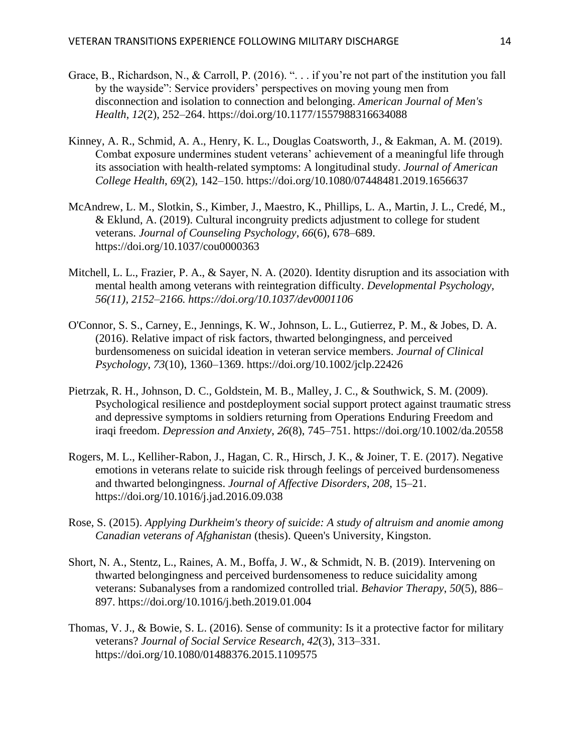- Grace, B., Richardson, N., & Carroll, P. (2016). ". . . if you're not part of the institution you fall by the wayside": Service providers' perspectives on moving young men from disconnection and isolation to connection and belonging. *American Journal of Men's Health*, *12*(2), 252–264. https://doi.org/10.1177/1557988316634088
- Kinney, A. R., Schmid, A. A., Henry, K. L., Douglas Coatsworth, J., & Eakman, A. M. (2019). Combat exposure undermines student veterans' achievement of a meaningful life through its association with health-related symptoms: A longitudinal study. *Journal of American College Health*, *69*(2), 142–150. https://doi.org/10.1080/07448481.2019.1656637
- McAndrew, L. M., Slotkin, S., Kimber, J., Maestro, K., Phillips, L. A., Martin, J. L., Credé, M., & Eklund, A. (2019). Cultural incongruity predicts adjustment to college for student veterans. *Journal of Counseling Psychology*, *66*(6), 678–689. https://doi.org/10.1037/cou0000363
- Mitchell, L. L., Frazier, P. A., & Sayer, N. A. (2020). Identity disruption and its association with mental health among veterans with reintegration difficulty. *Developmental Psychology, 56(11), 2152–2166. https://doi.org/10.1037/dev0001106*
- O'Connor, S. S., Carney, E., Jennings, K. W., Johnson, L. L., Gutierrez, P. M., & Jobes, D. A. (2016). Relative impact of risk factors, thwarted belongingness, and perceived burdensomeness on suicidal ideation in veteran service members. *Journal of Clinical Psychology*, *73*(10), 1360–1369. https://doi.org/10.1002/jclp.22426
- Pietrzak, R. H., Johnson, D. C., Goldstein, M. B., Malley, J. C., & Southwick, S. M. (2009). Psychological resilience and postdeployment social support protect against traumatic stress and depressive symptoms in soldiers returning from Operations Enduring Freedom and iraqi freedom. *Depression and Anxiety*, *26*(8), 745–751. https://doi.org/10.1002/da.20558
- Rogers, M. L., Kelliher-Rabon, J., Hagan, C. R., Hirsch, J. K., & Joiner, T. E. (2017). Negative emotions in veterans relate to suicide risk through feelings of perceived burdensomeness and thwarted belongingness. *Journal of Affective Disorders*, *208*, 15–21. https://doi.org/10.1016/j.jad.2016.09.038
- Rose, S. (2015). *Applying Durkheim's theory of suicide: A study of altruism and anomie among Canadian veterans of Afghanistan* (thesis). Queen's University, Kingston.
- Short, N. A., Stentz, L., Raines, A. M., Boffa, J. W., & Schmidt, N. B. (2019). Intervening on thwarted belongingness and perceived burdensomeness to reduce suicidality among veterans: Subanalyses from a randomized controlled trial. *Behavior Therapy*, *50*(5), 886– 897. https://doi.org/10.1016/j.beth.2019.01.004
- Thomas, V. J., & Bowie, S. L. (2016). Sense of community: Is it a protective factor for military veterans? *Journal of Social Service Research*, *42*(3), 313–331. https://doi.org/10.1080/01488376.2015.1109575